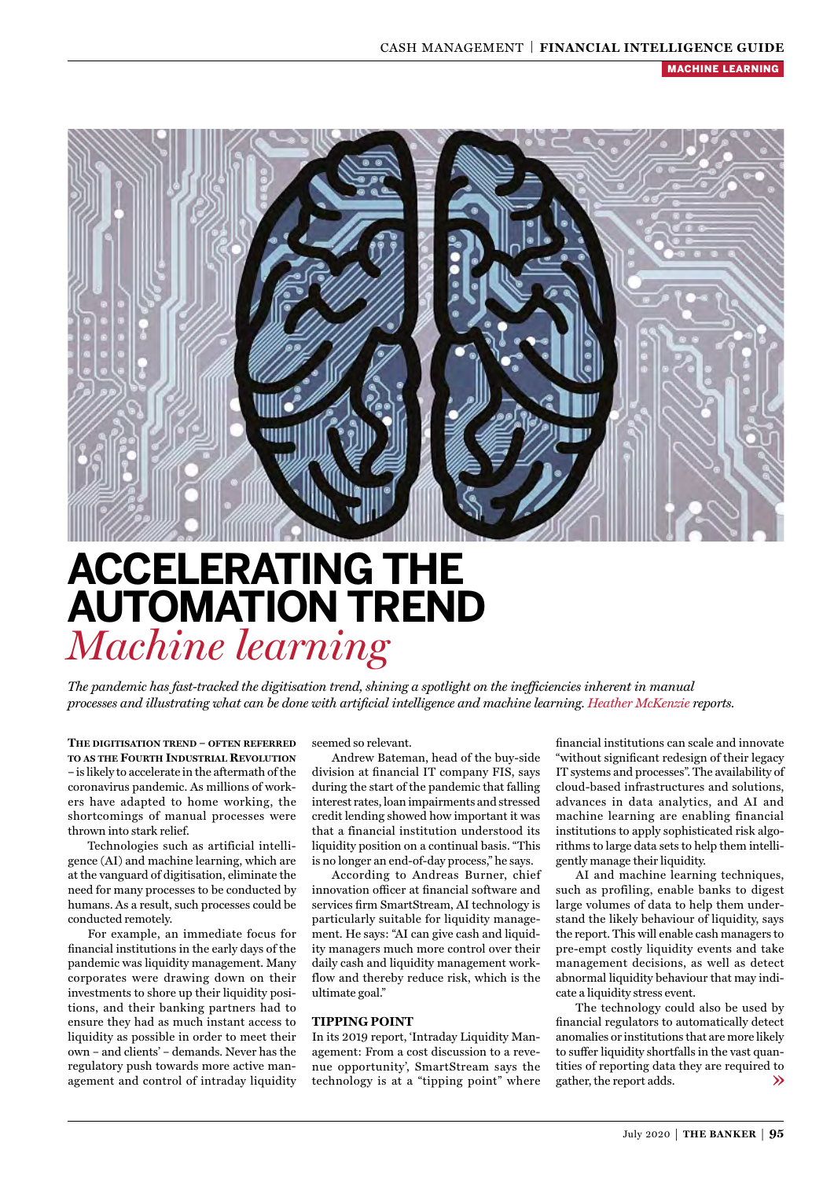

# **ACCELERATING THE AUTOMATION TREND** *Machine learning*

*The pandemic has fast-tracked the digitisation trend, shining a spotlight on the inefficiencies inherent in manual processes and illustrating what can be done with artificial intelligence and machine learning. Heather McKenzie reports.*

**THE DIGITISATION TREND – OFTEN REFERRED TO AS THE FOURTH INDUSTRIAL REVOLUTION –** is likely to accelerate in the aftermath of the coronavirus pandemic. As millions of workers have adapted to home working, the shortcomings of manual processes were thrown into stark relief.

Technologies such as artificial intelligence (AI) and machine learning, which are at the vanguard of digitisation, eliminate the need for many processes to be conducted by humans. As a result, such processes could be conducted remotely.

For example, an immediate focus for financial institutions in the early days of the pandemic was liquidity management. Many corporates were drawing down on their investments to shore up their liquidity positions, and their banking partners had to ensure they had as much instant access to liquidity as possible in order to meet their own – and clients' – demands. Never has the regulatory push towards more active management and control of intraday liquidity seemed so relevant.

Andrew Bateman, head of the buy-side division at financial IT company FIS, says during the start of the pandemic that falling interest rates, loan impairments and stressed credit lending showed how important it was that a financial institution understood its liquidity position on a continual basis. "This is no longer an end-of-day process," he says.

According to Andreas Burner, chief innovation officer at financial software and services firm SmartStream, AI technology is particularly suitable for liquidity management. He says: "AI can give cash and liquidity managers much more control over their daily cash and liquidity management workflow and thereby reduce risk, which is the ultimate goal."

#### **TIPPING POINT**

In its 2019 report, 'Intraday Liquidity Management: From a cost discussion to a revenue opportunity', SmartStream says the technology is at a "tipping point" where

financial institutions can scale and innovate "without significant redesign of their legacy IT systems and processes". The availability of cloud-based infrastructures and solutions, advances in data analytics, and AI and machine learning are enabling financial institutions to apply sophisticated risk algorithms to large data sets to help them intelligently manage their liquidity.

AI and machine learning techniques, such as profiling, enable banks to digest large volumes of data to help them understand the likely behaviour of liquidity, says the report. This will enable cash managers to pre-empt costly liquidity events and take management decisions, as well as detect abnormal liquidity behaviour that may indicate a liquidity stress event.

The technology could also be used by financial regulators to automatically detect anomalies or institutions that are more likely to suffer liquidity shortfalls in the vast quantities of reporting data they are required to gather, the report adds. $\gg$